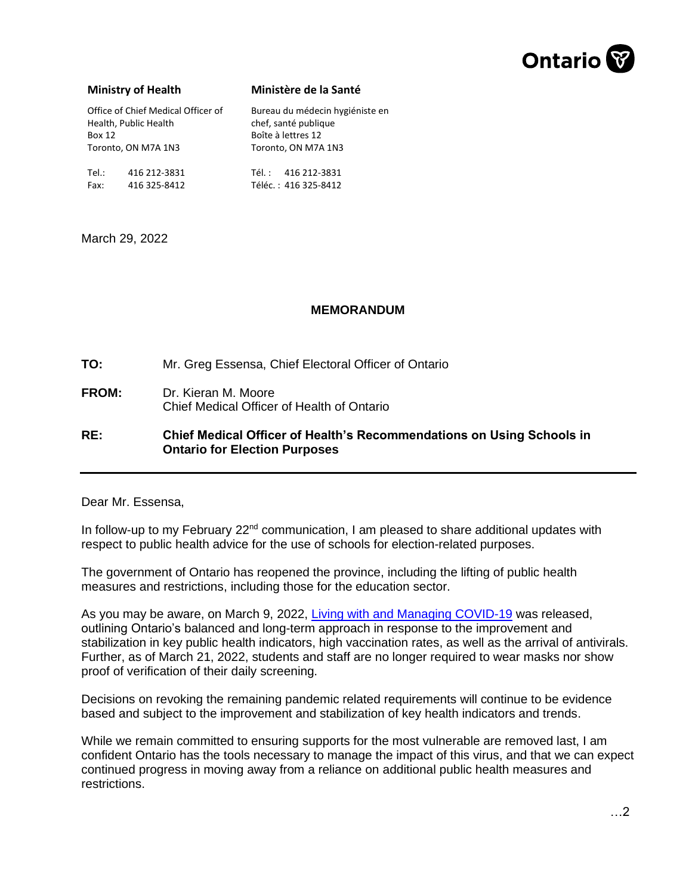

## **Ministry of Health**

Fax: 416 325-8412

## **Ministère de la Santé**

Téléc. : 416 325-8412

Office of Chief Medical Officer of Health, Public Health Box 12 Toronto, ON M7A 1N3 Tel.: 416 212-3831 Bureau du médecin hygiéniste en chef, santé publique Boîte à lettres 12 Toronto, ON M7A 1N3 Tél. : 416 212-3831

March 29, 2022

## **MEMORANDUM**

**TO:** Mr. Greg Essensa, Chief Electoral Officer of Ontario

**FROM:** Dr. Kieran M. Moore Chief Medical Officer of Health of Ontario

**RE: Chief Medical Officer of Health's Recommendations on Using Schools in Ontario for Election Purposes**

Dear Mr. Essensa,

In follow-up to my February 22<sup>nd</sup> communication, I am pleased to share additional updates with respect to public health advice for the use of schools for election-related purposes.

The government of Ontario has reopened the province, including the lifting of public health measures and restrictions, including those for the education sector.

As you may be aware, on March 9, 2022, [Living with and Managing COVID-19](https://www.ontario.ca/page/living-and-managing-covid-19-march-9-2022?utm_source=newsroom&utm_medium=email&utm_campaign=%2Fen%2Fstatement%2F1001732%2Fstatement-from-ontarios-chief-medical-officer-of-health&utm_term=ops) was released, outlining Ontario's balanced and long-term approach in response to the improvement and stabilization in key public health indicators, high vaccination rates, as well as the arrival of antivirals. Further, as of March 21, 2022, students and staff are no longer required to wear masks nor show proof of verification of their daily screening.

Decisions on revoking the remaining pandemic related requirements will continue to be evidence based and subject to the improvement and stabilization of key health indicators and trends.

While we remain committed to ensuring supports for the most vulnerable are removed last, I am confident Ontario has the tools necessary to manage the impact of this virus, and that we can expect continued progress in moving away from a reliance on additional public health measures and restrictions.